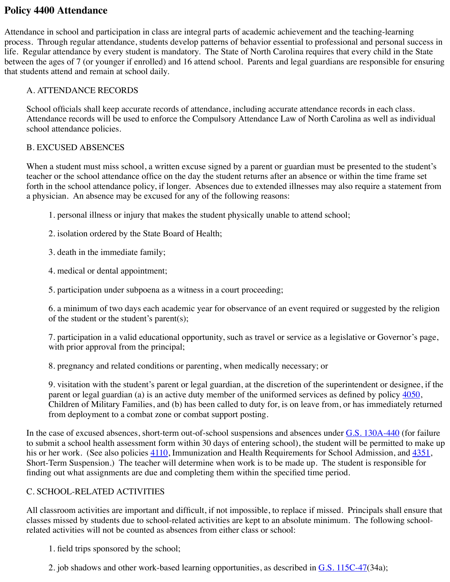# **Policy 4400 Attendance**

Attendance in school and participation in class are integral parts of academic achievement and the teaching-learning process. Through regular attendance, students develop patterns of behavior essential to professional and personal success in life. Regular attendance by every student is mandatory. The State of North Carolina requires that every child in the State between the ages of 7 (or younger if enrolled) and 16 attend school. Parents and legal guardians are responsible for ensuring that students attend and remain at school daily.

## A. ATTENDANCE RECORDS

School officials shall keep accurate records of attendance, including accurate attendance records in each class. Attendance records will be used to enforce the Compulsory Attendance Law of North Carolina as well as individual school attendance policies.

#### B. EXCUSED ABSENCES

When a student must miss school, a written excuse signed by a parent or guardian must be presented to the student's teacher or the school attendance office on the day the student returns after an absence or within the time frame set forth in the school attendance policy, if longer. Absences due to extended illnesses may also require a statement from a physician. An absence may be excused for any of the following reasons:

- 1. personal illness or injury that makes the student physically unable to attend school;
- 2. isolation ordered by the State Board of Health;
- 3. death in the immediate family;
- 4. medical or dental appointment;
- 5. participation under subpoena as a witness in a court proceeding;

6. a minimum of two days each academic year for observance of an event required or suggested by the religion of the student or the student's parent(s);

7. participation in a valid educational opportunity, such as travel or service as a legislative or Governor's page, with prior approval from the principal;

8. pregnancy and related conditions or parenting, when medically necessary; or

9. visitation with the student's parent or legal guardian, at the discretion of the superintendent or designee, if the parent or legal guardian (a) is an active duty member of the uniformed services as defined by policy  $\frac{4050}{100}$ , Children of Military Families, and (b) has been called to duty for, is on leave from, or has immediately returned from deployment to a combat zone or combat support posting.

In the case of excused absences, short-term out-of-school suspensions and absences under  $G.S. 130A-440$  (for failure to submit a school health assessment form within 30 days of entering school), the student will be permitted to make up his or her work. (See also policies 4110, Immunization and Health Requirements for School Admission, and 4351, Short-Term Suspension.) The teacher will determine when work is to be made up. The student is responsible for finding out what assignments are due and completing them within the specified time period.

# C. SCHOOL-RELATED ACTIVITIES

All classroom activities are important and difficult, if not impossible, to replace if missed. Principals shall ensure that classes missed by students due to school-related activities are kept to an absolute minimum. The following schoolrelated activities will not be counted as absences from either class or school:

- 1. field trips sponsored by the school;
- 2. job shadows and other work-based learning opportunities, as described in  $G.S. 115C-47(34a)$ ;